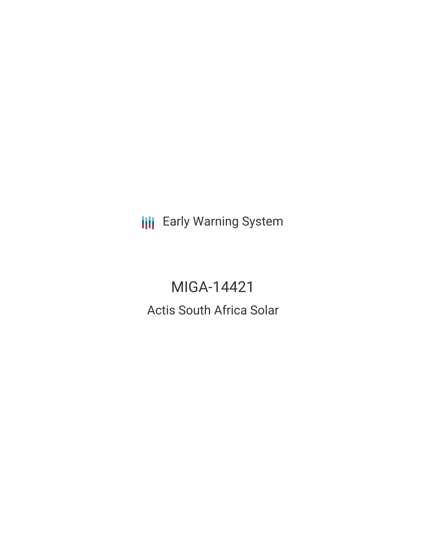**III** Early Warning System

MIGA-14421 Actis South Africa Solar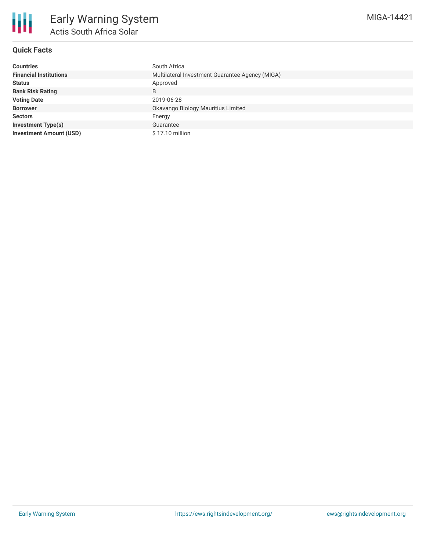

# **Quick Facts**

| <b>Countries</b>               | South Africa                                    |
|--------------------------------|-------------------------------------------------|
| <b>Financial Institutions</b>  | Multilateral Investment Guarantee Agency (MIGA) |
| <b>Status</b>                  | Approved                                        |
| <b>Bank Risk Rating</b>        | B                                               |
| <b>Voting Date</b>             | 2019-06-28                                      |
| <b>Borrower</b>                | Okavango Biology Mauritius Limited              |
| <b>Sectors</b>                 | Energy                                          |
| <b>Investment Type(s)</b>      | Guarantee                                       |
| <b>Investment Amount (USD)</b> | $$17.10$ million                                |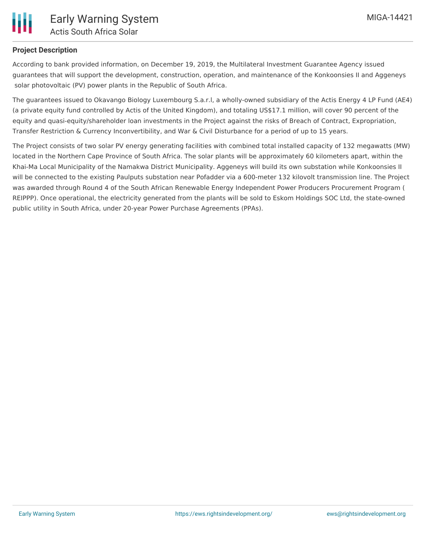

## **Project Description**

According to bank provided information, on December 19, 2019, the Multilateral Investment Guarantee Agency issued guarantees that will support the development, construction, operation, and maintenance of the Konkoonsies II and Aggeneys solar photovoltaic (PV) power plants in the Republic of South Africa.

The guarantees issued to Okavango Biology Luxembourg S.a.r.l, a wholly-owned subsidiary of the Actis Energy 4 LP Fund (AE4) (a private equity fund controlled by Actis of the United Kingdom), and totaling US\$17.1 million, will cover 90 percent of the equity and quasi-equity/shareholder loan investments in the Project against the risks of Breach of Contract, Expropriation, Transfer Restriction & Currency Inconvertibility, and War & Civil Disturbance for a period of up to 15 years.

The Project consists of two solar PV energy generating facilities with combined total installed capacity of 132 megawatts (MW) located in the Northern Cape Province of South Africa. The solar plants will be approximately 60 kilometers apart, within the Khai-Ma Local Municipality of the Namakwa District Municipality. Aggeneys will build its own substation while Konkoonsies II will be connected to the existing Paulputs substation near Pofadder via a 600-meter 132 kilovolt transmission line. The Project was awarded through Round 4 of the South African Renewable Energy Independent Power Producers Procurement Program ( REIPPP). Once operational, the electricity generated from the plants will be sold to Eskom Holdings SOC Ltd, the state-owned public utility in South Africa, under 20-year Power Purchase Agreements (PPAs).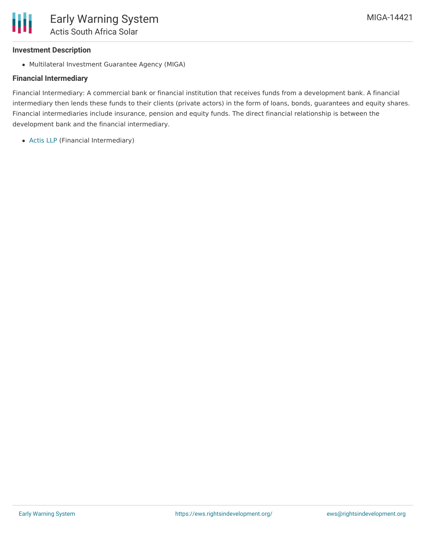## **Investment Description**

Ш

Multilateral Investment Guarantee Agency (MIGA)

### **Financial Intermediary**

Financial Intermediary: A commercial bank or financial institution that receives funds from a development bank. A financial intermediary then lends these funds to their clients (private actors) in the form of loans, bonds, guarantees and equity shares. Financial intermediaries include insurance, pension and equity funds. The direct financial relationship is between the development bank and the financial intermediary.

[Actis](file:///actor/218/) LLP (Financial Intermediary)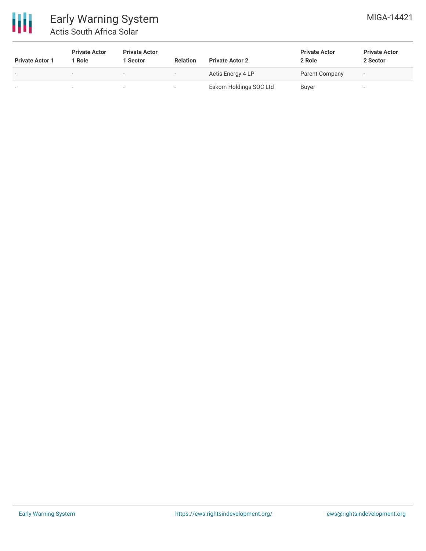

| <b>Private Actor 1</b>   | <b>Private Actor</b><br>' Role | <b>Private Actor</b><br><b>Sector</b> | <b>Relation</b>          | <b>Private Actor 2</b> | <b>Private Actor</b><br>2 Role | <b>Private Actor</b><br>2 Sector |
|--------------------------|--------------------------------|---------------------------------------|--------------------------|------------------------|--------------------------------|----------------------------------|
| $\overline{\phantom{0}}$ |                                | $\overline{\phantom{m}}$              | $\overline{\phantom{a}}$ | Actis Energy 4 LP      | Parent Company                 | $\overline{\phantom{m}}$         |
| $\overline{\phantom{0}}$ |                                |                                       |                          | Eskom Holdings SOC Ltd | Buyer                          |                                  |